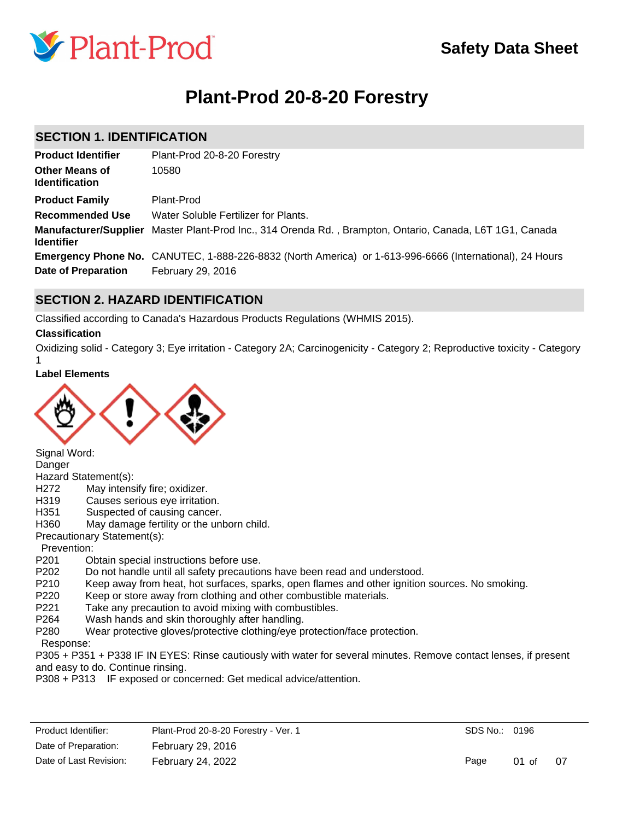

# **Plant-Prod 20-8-20 Forestry**

### **SECTION 1. IDENTIFICATION**

| <b>Product Identifier</b>                      | Plant-Prod 20-8-20 Forestry                                                                                    |
|------------------------------------------------|----------------------------------------------------------------------------------------------------------------|
| <b>Other Means of</b><br><b>Identification</b> | 10580                                                                                                          |
| <b>Product Family</b>                          | Plant-Prod                                                                                                     |
| <b>Recommended Use</b>                         | Water Soluble Fertilizer for Plants.                                                                           |
| <b>Identifier</b>                              | Manufacturer/Supplier Master Plant-Prod Inc., 314 Orenda Rd., Brampton, Ontario, Canada, L6T 1G1, Canada       |
|                                                | <b>Emergency Phone No.</b> CANUTEC, 1-888-226-8832 (North America) or 1-613-996-6666 (International), 24 Hours |
| Date of Preparation                            | February 29, 2016                                                                                              |

### **SECTION 2. HAZARD IDENTIFICATION**

Classified according to Canada's Hazardous Products Regulations (WHMIS 2015).

#### **Classification**

1

Oxidizing solid - Category 3; Eye irritation - Category 2A; Carcinogenicity - Category 2; Reproductive toxicity - Category

#### **Label Elements**



Signal Word:

Danger

Hazard Statement(s):

- H272 May intensify fire; oxidizer.
- H319 Causes serious eye irritation.
- H351 Suspected of causing cancer.
- H360 May damage fertility or the unborn child.

Precautionary Statement(s):

Prevention:

- P201 Obtain special instructions before use.
- P202 Do not handle until all safety precautions have been read and understood.
- P210 Keep away from heat, hot surfaces, sparks, open flames and other ignition sources. No smoking.
- P220 Keep or store away from clothing and other combustible materials.
- P221 Take any precaution to avoid mixing with combustibles.
- P264 Wash hands and skin thoroughly after handling.
- P280 Wear protective gloves/protective clothing/eye protection/face protection.

Response:

P305 + P351 + P338 IF IN EYES: Rinse cautiously with water for several minutes. Remove contact lenses, if present and easy to do. Continue rinsing.

P308 + P313 IF exposed or concerned: Get medical advice/attention.

| Product Identifier:    | Plant-Prod 20-8-20 Forestry - Ver. 1 | SDS No.: 0196 |         |      |
|------------------------|--------------------------------------|---------------|---------|------|
| Date of Preparation:   | February 29, 2016                    |               |         |      |
| Date of Last Revision: | February 24, 2022                    | Page          | $01$ of | - 07 |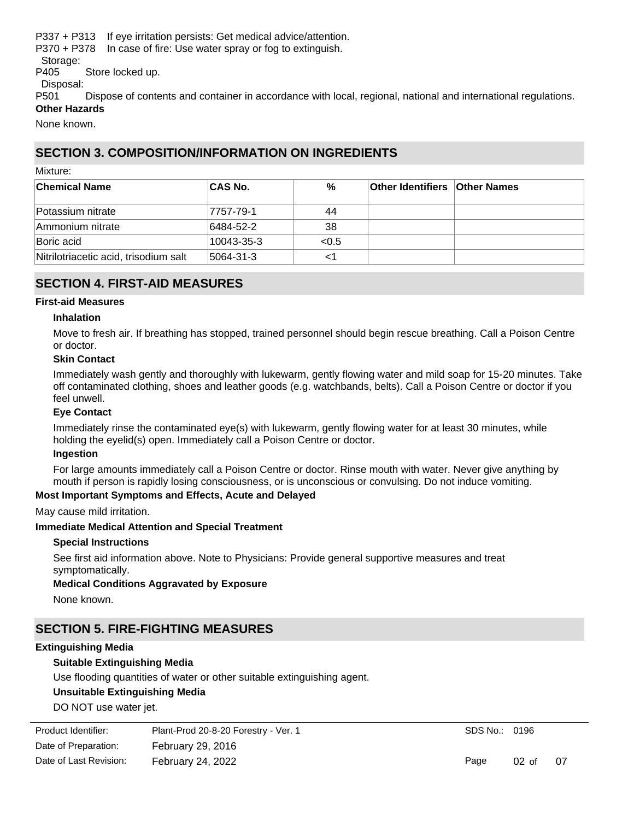P337 + P313 If eye irritation persists: Get medical advice/attention.

P370 + P378 In case of fire: Use water spray or fog to extinguish.

Storage:

P405 Store locked up.

Disposal:

P501 Dispose of contents and container in accordance with local, regional, national and international regulations. **Other Hazards**

None known.

### **SECTION 3. COMPOSITION/INFORMATION ON INGREDIENTS**

Mixture:

| <b>Chemical Name</b>                  | <b>CAS No.</b> | %     | <b>Other Identifiers Other Names</b> |  |
|---------------------------------------|----------------|-------|--------------------------------------|--|
| Potassium nitrate                     | 7757-79-1      | 44    |                                      |  |
| Ammonium nitrate                      | 6484-52-2      | -38   |                                      |  |
| Boric acid                            | 10043-35-3     | < 0.5 |                                      |  |
| Nitrilotriacetic acid, trisodium salt | 5064-31-3      | <1    |                                      |  |

### **SECTION 4. FIRST-AID MEASURES**

#### **First-aid Measures**

#### **Inhalation**

Move to fresh air. If breathing has stopped, trained personnel should begin rescue breathing. Call a Poison Centre or doctor.

#### **Skin Contact**

Immediately wash gently and thoroughly with lukewarm, gently flowing water and mild soap for 15-20 minutes. Take off contaminated clothing, shoes and leather goods (e.g. watchbands, belts). Call a Poison Centre or doctor if you feel unwell.

#### **Eye Contact**

Immediately rinse the contaminated eye(s) with lukewarm, gently flowing water for at least 30 minutes, while holding the eyelid(s) open. Immediately call a Poison Centre or doctor.

#### **Ingestion**

For large amounts immediately call a Poison Centre or doctor. Rinse mouth with water. Never give anything by mouth if person is rapidly losing consciousness, or is unconscious or convulsing. Do not induce vomiting.

#### **Most Important Symptoms and Effects, Acute and Delayed**

May cause mild irritation.

#### **Immediate Medical Attention and Special Treatment**

#### **Special Instructions**

See first aid information above. Note to Physicians: Provide general supportive measures and treat symptomatically.

#### **Medical Conditions Aggravated by Exposure**

None known.

# **SECTION 5. FIRE-FIGHTING MEASURES**

#### **Extinguishing Media**

#### **Suitable Extinguishing Media**

Use flooding quantities of water or other suitable extinguishing agent.

#### **Unsuitable Extinguishing Media**

DO NOT use water jet.

| Product Identifier:    | Plant-Prod 20-8-20 Forestry - Ver. 1 |
|------------------------|--------------------------------------|
| Date of Preparation:   | February 29, 2016                    |
| Date of Last Revision: | February 24, 2022                    |

SDS No.: 0196

Page 02 of 07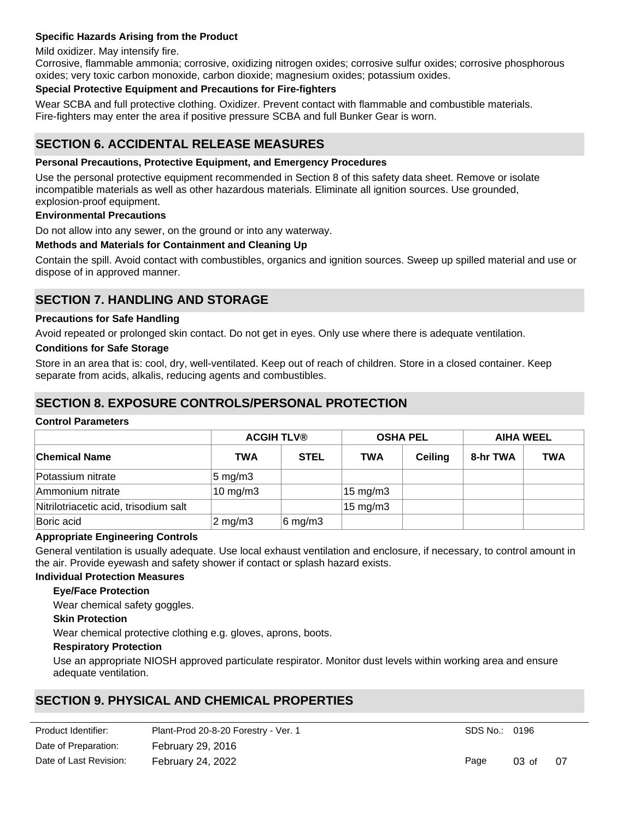#### **Specific Hazards Arising from the Product**

Mild oxidizer. May intensify fire.

Corrosive, flammable ammonia; corrosive, oxidizing nitrogen oxides; corrosive sulfur oxides; corrosive phosphorous oxides; very toxic carbon monoxide, carbon dioxide; magnesium oxides; potassium oxides.

#### **Special Protective Equipment and Precautions for Fire-fighters**

Wear SCBA and full protective clothing. Oxidizer. Prevent contact with flammable and combustible materials. Fire-fighters may enter the area if positive pressure SCBA and full Bunker Gear is worn.

### **SECTION 6. ACCIDENTAL RELEASE MEASURES**

#### **Personal Precautions, Protective Equipment, and Emergency Procedures**

Use the personal protective equipment recommended in Section 8 of this safety data sheet. Remove or isolate incompatible materials as well as other hazardous materials. Eliminate all ignition sources. Use grounded, explosion-proof equipment.

#### **Environmental Precautions**

Do not allow into any sewer, on the ground or into any waterway.

#### **Methods and Materials for Containment and Cleaning Up**

Contain the spill. Avoid contact with combustibles, organics and ignition sources. Sweep up spilled material and use or dispose of in approved manner.

### **SECTION 7. HANDLING AND STORAGE**

#### **Precautions for Safe Handling**

Avoid repeated or prolonged skin contact. Do not get in eyes. Only use where there is adequate ventilation.

#### **Conditions for Safe Storage**

Store in an area that is: cool, dry, well-ventilated. Keep out of reach of children. Store in a closed container. Keep separate from acids, alkalis, reducing agents and combustibles.

### **SECTION 8. EXPOSURE CONTROLS/PERSONAL PROTECTION**

#### **Control Parameters**

|                                       |                     | <b>ACGIH TLV®</b>  |                   | <b>OSHA PEL</b> |          | <b>AIHA WEEL</b> |  |
|---------------------------------------|---------------------|--------------------|-------------------|-----------------|----------|------------------|--|
| <b>Chemical Name</b>                  | <b>TWA</b>          | <b>STEL</b>        | <b>TWA</b>        | <b>Ceiling</b>  | 8-hr TWA | <b>TWA</b>       |  |
| Potassium nitrate                     | $5 \text{ mg/m}$ 3  |                    |                   |                 |          |                  |  |
| Ammonium nitrate                      | $10 \text{ mg/m}$ 3 |                    | $15 \text{ mg/m}$ |                 |          |                  |  |
| Nitrilotriacetic acid, trisodium salt |                     |                    | $15 \text{ mg/m}$ |                 |          |                  |  |
| Boric acid                            | $2 \text{ mg/m}$ 3  | $6 \text{ mg/m}$ 3 |                   |                 |          |                  |  |

#### **Appropriate Engineering Controls**

General ventilation is usually adequate. Use local exhaust ventilation and enclosure, if necessary, to control amount in the air. Provide eyewash and safety shower if contact or splash hazard exists.

#### **Individual Protection Measures**

#### **Eye/Face Protection**

Wear chemical safety goggles.

#### **Skin Protection**

Wear chemical protective clothing e.g. gloves, aprons, boots.

#### **Respiratory Protection**

Use an appropriate NIOSH approved particulate respirator. Monitor dust levels within working area and ensure adequate ventilation.

### **SECTION 9. PHYSICAL AND CHEMICAL PROPERTIES**

**Basic Physical and Chemical Properties** Date of Preparation: February 29, 2016 Product Identifier: Plant-Prod 20-8-20 Forestry - Ver. 1 Date of Last Revision: February 24, 2022

SDS No.: 0196

Page 03 of 07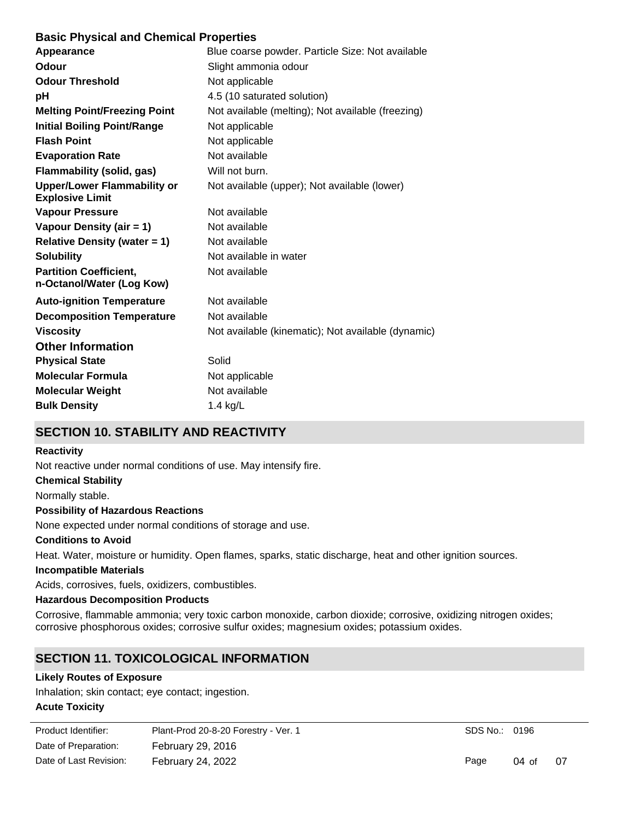### **Basic Physical and Chemical Properties**

| Appearance                                                   | Blue coarse powder. Particle Size: Not available   |
|--------------------------------------------------------------|----------------------------------------------------|
| <b>Odour</b>                                                 | Slight ammonia odour                               |
| <b>Odour Threshold</b>                                       | Not applicable                                     |
| рH                                                           | 4.5 (10 saturated solution)                        |
| <b>Melting Point/Freezing Point</b>                          | Not available (melting); Not available (freezing)  |
| <b>Initial Boiling Point/Range</b>                           | Not applicable                                     |
| <b>Flash Point</b>                                           | Not applicable                                     |
| <b>Evaporation Rate</b>                                      | Not available                                      |
| Flammability (solid, gas)                                    | Will not burn.                                     |
| <b>Upper/Lower Flammability or</b><br><b>Explosive Limit</b> | Not available (upper); Not available (lower)       |
| <b>Vapour Pressure</b>                                       | Not available                                      |
| Vapour Density (air = 1)                                     | Not available                                      |
| <b>Relative Density (water = 1)</b>                          | Not available                                      |
| <b>Solubility</b>                                            | Not available in water                             |
| <b>Partition Coefficient,</b><br>n-Octanol/Water (Log Kow)   | Not available                                      |
| <b>Auto-ignition Temperature</b>                             | Not available                                      |
| <b>Decomposition Temperature</b>                             | Not available                                      |
| <b>Viscosity</b>                                             | Not available (kinematic); Not available (dynamic) |
| <b>Other Information</b>                                     |                                                    |
| <b>Physical State</b>                                        | Solid                                              |
| <b>Molecular Formula</b>                                     | Not applicable                                     |
| <b>Molecular Weight</b>                                      | Not available                                      |
| <b>Bulk Density</b>                                          | 1.4 $kg/L$                                         |
|                                                              |                                                    |

# **SECTION 10. STABILITY AND REACTIVITY**

#### **Reactivity**

Not reactive under normal conditions of use. May intensify fire.

#### **Chemical Stability**

Normally stable.

#### **Possibility of Hazardous Reactions**

None expected under normal conditions of storage and use.

#### **Conditions to Avoid**

Heat. Water, moisture or humidity. Open flames, sparks, static discharge, heat and other ignition sources.

#### **Incompatible Materials**

Acids, corrosives, fuels, oxidizers, combustibles.

#### **Hazardous Decomposition Products**

Corrosive, flammable ammonia; very toxic carbon monoxide, carbon dioxide; corrosive, oxidizing nitrogen oxides; corrosive phosphorous oxides; corrosive sulfur oxides; magnesium oxides; potassium oxides.

# **SECTION 11. TOXICOLOGICAL INFORMATION**

#### **Likely Routes of Exposure**

Inhalation; skin contact; eye contact; ingestion.

### **Acute Toxicity**

| Product Identifier:    | Plant-Prod 20-8-20 Forestry - Ver. 1 |
|------------------------|--------------------------------------|
| Date of Preparation:   | February 29, 2016                    |
| Date of Last Revision: | February 24, 2022                    |

SDS No.: 0196

Page 04 of 07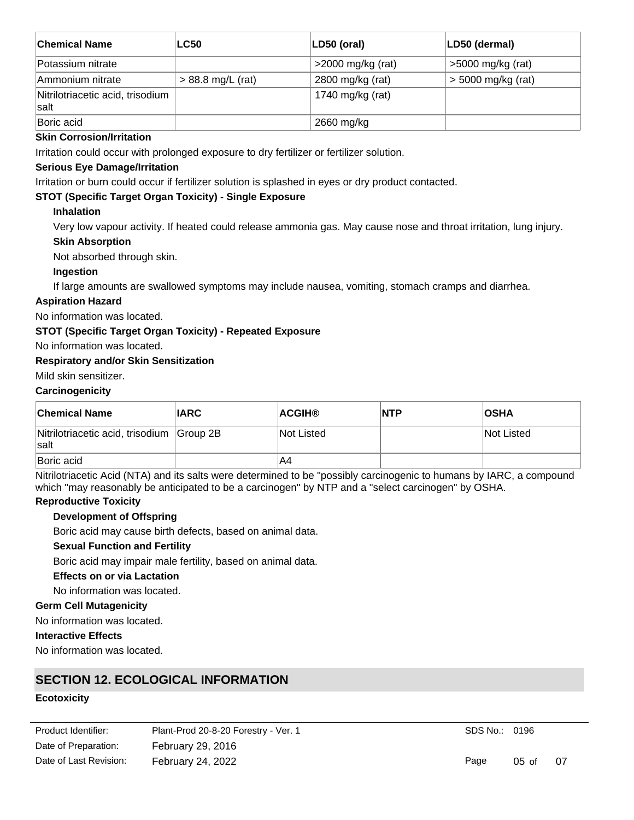| <b>Chemical Name</b>                     | <b>LC50</b>         | LD50 (oral)         | LD50 (dermal)        |
|------------------------------------------|---------------------|---------------------|----------------------|
| Potassium nitrate                        |                     | $>2000$ mg/kg (rat) | >5000 mg/kg (rat)    |
| Ammonium nitrate                         | $> 88.8$ mg/L (rat) | 2800 mg/kg (rat)    | $>$ 5000 mg/kg (rat) |
| Nitrilotriacetic acid, trisodium<br>salt |                     | 1740 mg/kg (rat)    |                      |
| Boric acid                               |                     | 2660 mg/kg          |                      |

#### **Skin Corrosion/Irritation**

Irritation could occur with prolonged exposure to dry fertilizer or fertilizer solution.

#### **Serious Eye Damage/Irritation**

Irritation or burn could occur if fertilizer solution is splashed in eyes or dry product contacted.

#### **STOT (Specific Target Organ Toxicity) - Single Exposure**

#### **Inhalation**

Very low vapour activity. If heated could release ammonia gas. May cause nose and throat irritation, lung injury.

#### **Skin Absorption**

Not absorbed through skin.

#### **Ingestion**

If large amounts are swallowed symptoms may include nausea, vomiting, stomach cramps and diarrhea.

### **Aspiration Hazard**

No information was located.

#### **STOT (Specific Target Organ Toxicity) - Repeated Exposure**

No information was located.

#### **Respiratory and/or Skin Sensitization**

Mild skin sensitizer.

#### **Carcinogenicity**

| <b>Chemical Name</b>                              | <b>IARC</b> | <b>ACGIH®</b> | <b>NTP</b> | <b>OSHA</b> |
|---------------------------------------------------|-------------|---------------|------------|-------------|
| Nitrilotriacetic acid, trisodium Group 2B<br>salt |             | Not Listed    |            | Not Listed  |
| Boric acid                                        |             | A4            |            |             |

Nitrilotriacetic Acid (NTA) and its salts were determined to be "possibly carcinogenic to humans by IARC, a compound which "may reasonably be anticipated to be a carcinogen" by NTP and a "select carcinogen" by OSHA.

### **Reproductive Toxicity**

#### **Development of Offspring**

Boric acid may cause birth defects, based on animal data.

## **Sexual Function and Fertility**

Boric acid may impair male fertility, based on animal data.

#### **Effects on or via Lactation**

No information was located.

#### **Germ Cell Mutagenicity**

No information was located.

#### **Interactive Effects**

No information was located.

### **SECTION 12. ECOLOGICAL INFORMATION**

#### **Ecotoxicity**

Date of Preparation: February 29, 2016 Product Identifier: Plant-Prod 20-8-20 Forestry - Ver. 1 Date of Last Revision: February 24, 2022

SDS No.: 0196

Page 05 of 07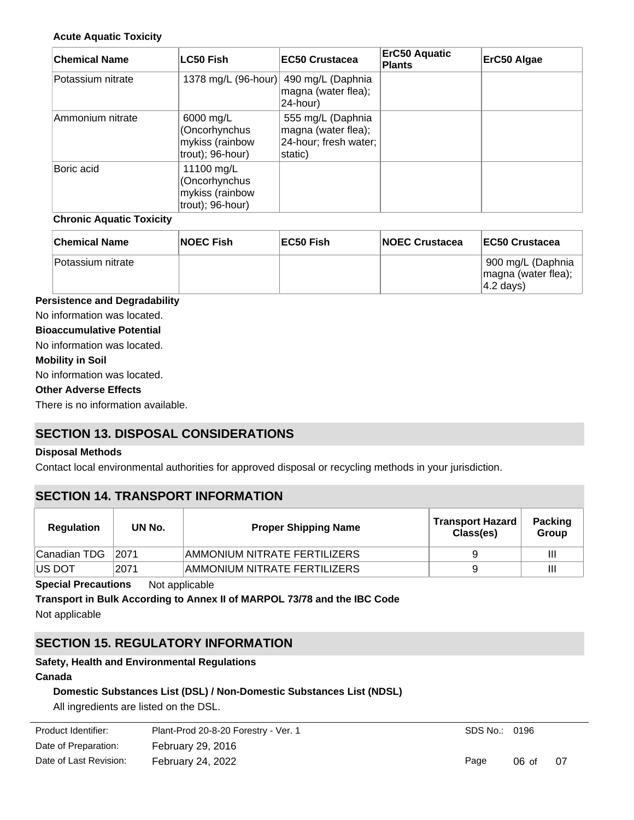#### **Acute Aquatic Toxicity**

| <b>Chemical Name</b> | <b>LC50 Fish</b>                                                   | <b>IEC50 Crustacea</b>                                                       | <b>ErC50 Aquatic</b><br><b>Plants</b> | ErC50 Algae |
|----------------------|--------------------------------------------------------------------|------------------------------------------------------------------------------|---------------------------------------|-------------|
| Potassium nitrate    |                                                                    | 1378 mg/L (96-hour) 490 mg/L (Daphnia<br>magna (water flea);<br>24-hour)     |                                       |             |
| Ammonium nitrate     | 6000 mg/L<br>(Oncorhynchus<br>mykiss (rainbow<br>trout); 96-hour)  | 555 mg/L (Daphnia<br>magna (water flea);<br>24-hour; fresh water;<br>static) |                                       |             |
| Boric acid           | 11100 mg/L<br>(Oncorhynchus<br>mykiss (rainbow<br>trout); 96-hour) |                                                                              |                                       |             |

#### **Chronic Aquatic Toxicity**

| <b>Chemical Name</b> | <b>NOEC Fish</b> | EC50 Fish | <b>INOEC Crustacea</b> | <b>IEC50 Crustacea</b>                                                        |
|----------------------|------------------|-----------|------------------------|-------------------------------------------------------------------------------|
| ∣Potassium nitrate∶  |                  |           |                        | <sup>∖</sup> 900 mg/L (Daphnia<br>magna (water flea);<br>$ 4.2 \text{ days} $ |

#### **Persistence and Degradability**

No information was located.

#### **Bioaccumulative Potential**

No information was located.

#### **Mobility in Soil**

No information was located.

### **Other Adverse Effects**

There is no information available.

# **SECTION 13. DISPOSAL CONSIDERATIONS**

#### **Disposal Methods**

Contact local environmental authorities for approved disposal or recycling methods in your jurisdiction.

### **SECTION 14. TRANSPORT INFORMATION**

| Regulation     | UN No. | <b>Proper Shipping Name</b>  | <b>Transport Hazard</b><br>Class(es) | <b>Packing</b><br>Group |
|----------------|--------|------------------------------|--------------------------------------|-------------------------|
| ∣Canadian TDG  | 2071   | AMMONIUM NITRATE FERTILIZERS | 9                                    | Ш                       |
| <b>IUS DOT</b> | 2071   | AMMONIUM NITRATE FERTILIZERS | g                                    | Ш                       |

**Special Precautions** Not applicable

**Transport in Bulk According to Annex II of MARPOL 73/78 and the IBC Code** Not applicable

# **SECTION 15. REGULATORY INFORMATION**

#### **Safety, Health and Environmental Regulations**

### **Canada**

### **Domestic Substances List (DSL) / Non-Domestic Substances List (NDSL)**

All ingredients are listed on the DSL.

| Plant-Prod 20-8-20 Forestry - Ver. 1 |
|--------------------------------------|
| <b>February 29, 2016</b>             |
| February 24, 2022                    |
|                                      |

SDS No.: 0196

Page 06 of 07